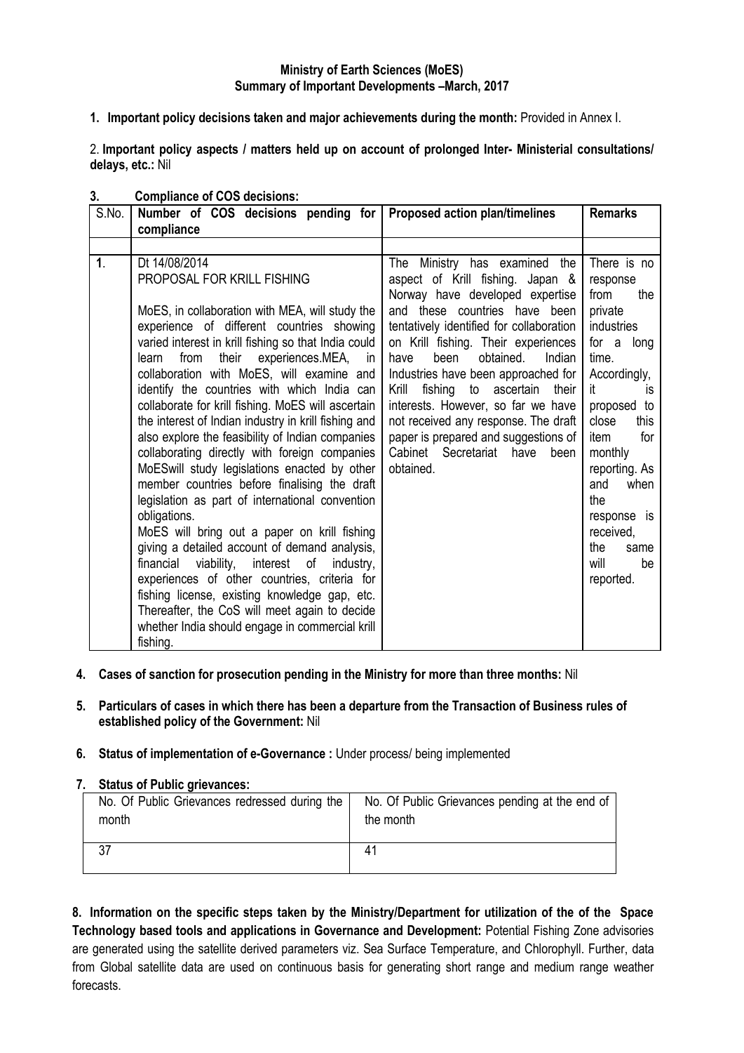## **Ministry of Earth Sciences (MoES) Summary of Important Developments –March, 2017**

**1. Important policy decisions taken and major achievements during the month:** Provided in Annex I.

2. **Important policy aspects / matters held up on account of prolonged Inter- Ministerial consultations/ delays, etc.:** Nil

| S.No.          | Number of COS decisions pending for<br>compliance                                                                                                                                                                                                                                                                                                                                                                                                                                                                                                                                                                                                                                                                                                                                                                                                                                                                                                                                                                                                                                                   | <b>Proposed action plan/timelines</b>                                                                                                                                                                                                                                                                                                                                                                                                                                                                                            | <b>Remarks</b>                                                                                                                                                                                                                                                                                    |
|----------------|-----------------------------------------------------------------------------------------------------------------------------------------------------------------------------------------------------------------------------------------------------------------------------------------------------------------------------------------------------------------------------------------------------------------------------------------------------------------------------------------------------------------------------------------------------------------------------------------------------------------------------------------------------------------------------------------------------------------------------------------------------------------------------------------------------------------------------------------------------------------------------------------------------------------------------------------------------------------------------------------------------------------------------------------------------------------------------------------------------|----------------------------------------------------------------------------------------------------------------------------------------------------------------------------------------------------------------------------------------------------------------------------------------------------------------------------------------------------------------------------------------------------------------------------------------------------------------------------------------------------------------------------------|---------------------------------------------------------------------------------------------------------------------------------------------------------------------------------------------------------------------------------------------------------------------------------------------------|
|                |                                                                                                                                                                                                                                                                                                                                                                                                                                                                                                                                                                                                                                                                                                                                                                                                                                                                                                                                                                                                                                                                                                     |                                                                                                                                                                                                                                                                                                                                                                                                                                                                                                                                  |                                                                                                                                                                                                                                                                                                   |
| $\mathbf{1}$ . | Dt 14/08/2014<br>PROPOSAL FOR KRILL FISHING<br>MoES, in collaboration with MEA, will study the<br>experience of different countries showing<br>varied interest in krill fishing so that India could<br>their experiences.MEA, in<br>from<br>learn<br>collaboration with MoES, will examine and<br>identify the countries with which India can<br>collaborate for krill fishing. MoES will ascertain<br>the interest of Indian industry in krill fishing and<br>also explore the feasibility of Indian companies<br>collaborating directly with foreign companies<br>MoESwill study legislations enacted by other<br>member countries before finalising the draft<br>legislation as part of international convention<br>obligations.<br>MoES will bring out a paper on krill fishing<br>giving a detailed account of demand analysis,<br>financial viability, interest of industry,<br>experiences of other countries, criteria for<br>fishing license, existing knowledge gap, etc.<br>Thereafter, the CoS will meet again to decide<br>whether India should engage in commercial krill<br>fishing. | Ministry has examined<br>the<br>The<br>aspect of Krill fishing. Japan &<br>Norway have developed expertise<br>and these countries have been<br>tentatively identified for collaboration<br>on Krill fishing. Their experiences<br>obtained.<br>been<br>Indian<br>have<br>Industries have been approached for<br>fishing to ascertain<br>Krill<br>their<br>interests. However, so far we have<br>not received any response. The draft<br>paper is prepared and suggestions of<br>Cabinet Secretariat<br>have<br>been<br>obtained. | There is no<br>response<br>from<br>the<br>private<br><b>industries</b><br>for a long<br>time.<br>Accordingly,<br>it<br>İS.<br>proposed to<br>close<br>this<br>for<br>item<br>monthly<br>reporting. As<br>and<br>when<br>the<br>response is<br>received,<br>the<br>same<br>will<br>be<br>reported. |

## **3. Compliance of COS decisions:**

- **4. Cases of sanction for prosecution pending in the Ministry for more than three months:** Nil
- **5. Particulars of cases in which there has been a departure from the Transaction of Business rules of established policy of the Government:** Nil
- **6. Status of implementation of e-Governance :** Under process/ being implemented

#### **7. Status of Public grievances:**

| No. Of Public Grievances redressed during the | No. Of Public Grievances pending at the end of |
|-----------------------------------------------|------------------------------------------------|
| month                                         | the month                                      |
|                                               | 41                                             |

**8. Information on the specific steps taken by the Ministry/Department for utilization of the of the Space Technology based tools and applications in Governance and Development:** Potential Fishing Zone advisories are generated using the satellite derived parameters viz. Sea Surface Temperature, and Chlorophyll. Further, data from Global satellite data are used on continuous basis for generating short range and medium range weather forecasts.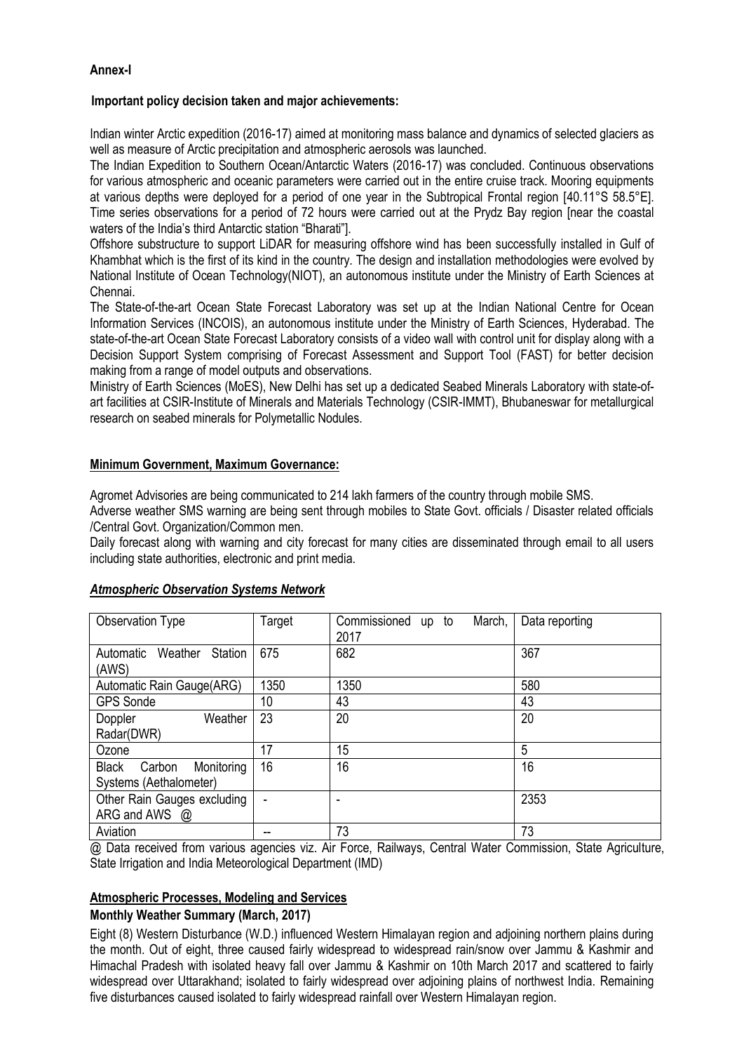# **Annex-I**

### **Important policy decision taken and major achievements:**

Indian winter Arctic expedition (2016-17) aimed at monitoring mass balance and dynamics of selected glaciers as well as measure of Arctic precipitation and atmospheric aerosols was launched.

The Indian Expedition to Southern Ocean/Antarctic Waters (2016-17) was concluded. Continuous observations for various atmospheric and oceanic parameters were carried out in the entire cruise track. Mooring equipments at various depths were deployed for a period of one year in the Subtropical Frontal region [40.11°S 58.5°E]. Time series observations for a period of 72 hours were carried out at the Prydz Bay region [near the coastal waters of the India"s third Antarctic station "Bharati"].

Offshore substructure to support LiDAR for measuring offshore wind has been successfully installed in Gulf of Khambhat which is the first of its kind in the country. The design and installation methodologies were evolved by National Institute of Ocean Technology(NIOT), an autonomous institute under the Ministry of Earth Sciences at Chennai.

The State-of-the-art Ocean State Forecast Laboratory was set up at the Indian National Centre for Ocean Information Services (INCOIS), an autonomous institute under the Ministry of Earth Sciences, Hyderabad. The state-of-the-art Ocean State Forecast Laboratory consists of a video wall with control unit for display along with a Decision Support System comprising of Forecast Assessment and Support Tool (FAST) for better decision making from a range of model outputs and observations.

Ministry of Earth Sciences (MoES), New Delhi has set up a dedicated Seabed Minerals Laboratory with state-ofart facilities at CSIR-Institute of Minerals and Materials Technology (CSIR-IMMT), Bhubaneswar for metallurgical research on seabed minerals for Polymetallic Nodules.

## **Minimum Government, Maximum Governance:**

Agromet Advisories are being communicated to 214 lakh farmers of the country through mobile SMS.

Adverse weather SMS warning are being sent through mobiles to State Govt. officials / Disaster related officials /Central Govt. Organization/Common men.

Daily forecast along with warning and city forecast for many cities are disseminated through email to all users including state authorities, electronic and print media.

| Observation Type                                               | Target          | Commissioned<br>March,<br>up to<br>2017 | Data reporting |
|----------------------------------------------------------------|-----------------|-----------------------------------------|----------------|
| Station<br>Weather<br>Automatic<br>(AWS)                       | 675             | 682                                     | 367            |
| Automatic Rain Gauge(ARG)                                      | 1350            | 1350                                    | 580            |
| <b>GPS Sonde</b>                                               | 10 <sup>°</sup> | 43                                      | 43             |
| Weather<br>Doppler<br>Radar(DWR)                               | 23              | 20                                      | 20             |
| Ozone                                                          | 17              | 15                                      | 5              |
| Monitoring<br><b>Black</b><br>Carbon<br>Systems (Aethalometer) | 16              | 16                                      | 16             |
| Other Rain Gauges excluding<br>ARG and AWS @                   |                 | $\blacksquare$                          | 2353           |
| Aviation                                                       |                 | 73                                      | 73             |

#### *Atmospheric Observation Systems Network*

@ Data received from various agencies viz. Air Force, Railways, Central Water Commission, State Agriculture, State Irrigation and India Meteorological Department (IMD)

# **Atmospheric Processes, Modeling and Services**

### **Monthly Weather Summary (March, 2017)**

Eight (8) Western Disturbance (W.D.) influenced Western Himalayan region and adjoining northern plains during the month. Out of eight, three caused fairly widespread to widespread rain/snow over Jammu & Kashmir and Himachal Pradesh with isolated heavy fall over Jammu & Kashmir on 10th March 2017 and scattered to fairly widespread over Uttarakhand; isolated to fairly widespread over adjoining plains of northwest India. Remaining five disturbances caused isolated to fairly widespread rainfall over Western Himalayan region.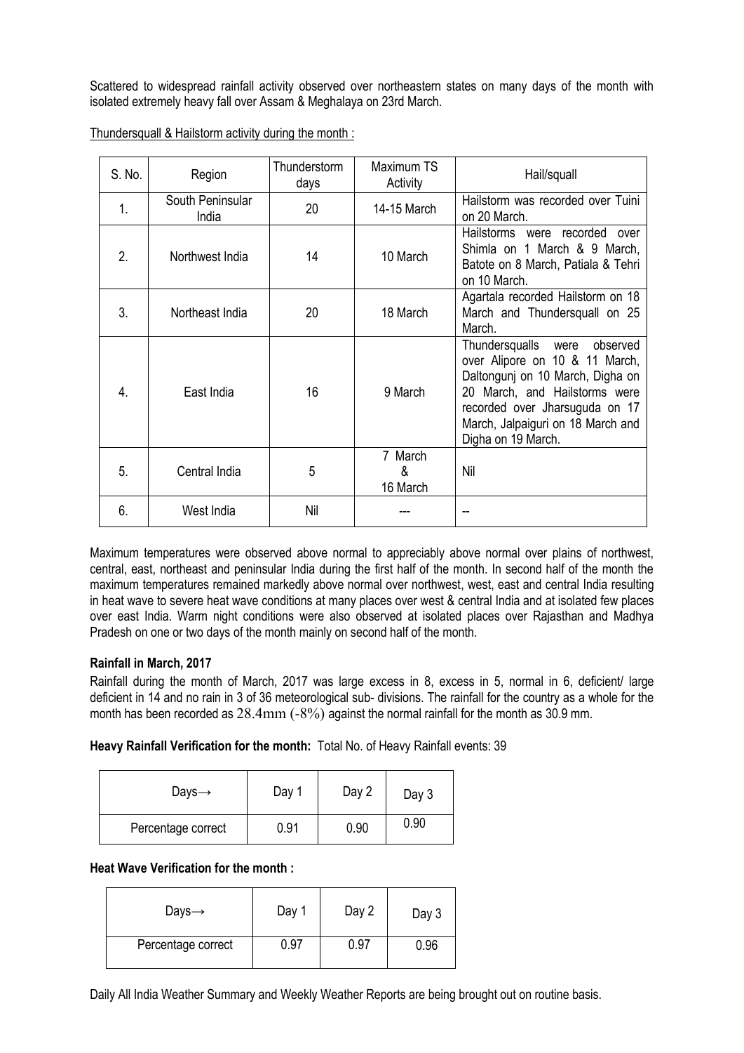Scattered to widespread rainfall activity observed over northeastern states on many days of the month with isolated extremely heavy fall over Assam & Meghalaya on 23rd March.

| S. No.       | Region                    | Thunderstorm<br>days | Maximum TS<br>Activity   | Hail/squall                                                                                                                                                                                                                         |
|--------------|---------------------------|----------------------|--------------------------|-------------------------------------------------------------------------------------------------------------------------------------------------------------------------------------------------------------------------------------|
| 1.           | South Peninsular<br>India | 20                   | 14-15 March              | Hailstorm was recorded over Tuini<br>on 20 March.                                                                                                                                                                                   |
| $\mathbf{2}$ | Northwest India           | 14                   | 10 March                 | Hailstorms were recorded over<br>Shimla on 1 March & 9 March,<br>Batote on 8 March, Patiala & Tehri<br>on 10 March.                                                                                                                 |
| 3.           | Northeast India           | 20                   | 18 March                 | Agartala recorded Hailstorm on 18<br>March and Thundersquall on 25<br>March.                                                                                                                                                        |
| 4.           | East India                | 16                   | 9 March                  | Thundersqualls were<br>observed<br>over Alipore on 10 & 11 March,<br>Daltonguni on 10 March, Digha on<br>20 March, and Hailstorms were<br>recorded over Jharsuguda on 17<br>March, Jalpaiguri on 18 March and<br>Digha on 19 March. |
| 5.           | Central India             | 5                    | 7 March<br>&<br>16 March | Nil                                                                                                                                                                                                                                 |
| 6.           | West India                | Nil                  |                          |                                                                                                                                                                                                                                     |

Thundersquall & Hailstorm activity during the month :

Maximum temperatures were observed above normal to appreciably above normal over plains of northwest, central, east, northeast and peninsular India during the first half of the month. In second half of the month the maximum temperatures remained markedly above normal over northwest, west, east and central India resulting in heat wave to severe heat wave conditions at many places over west & central India and at isolated few places over east India. Warm night conditions were also observed at isolated places over Raiasthan and Madhya Pradesh on one or two days of the month mainly on second half of the month.

# **Rainfall in March, 2017**

Rainfall during the month of March, 2017 was large excess in 8, excess in 5, normal in 6, deficient/ large deficient in 14 and no rain in 3 of 36 meteorological sub- divisions. The rainfall for the country as a whole for the month has been recorded as 28.4mm (-8%) against the normal rainfall for the month as 30.9 mm.

**Heavy Rainfall Verification for the month:** Total No. of Heavy Rainfall events: 39

| Days $\rightarrow$ | Day 1 | Day 2 | Day 3 |
|--------------------|-------|-------|-------|
| Percentage correct | 0.91  | 0.90  | 0.90  |

# **Heat Wave Verification for the month :**

| Days $\rightarrow$ | Day  | Day 2 | Day 3 |
|--------------------|------|-------|-------|
| Percentage correct | 0.97 | 0.97  | 0.96  |

Daily All India Weather Summary and Weekly Weather Reports are being brought out on routine basis.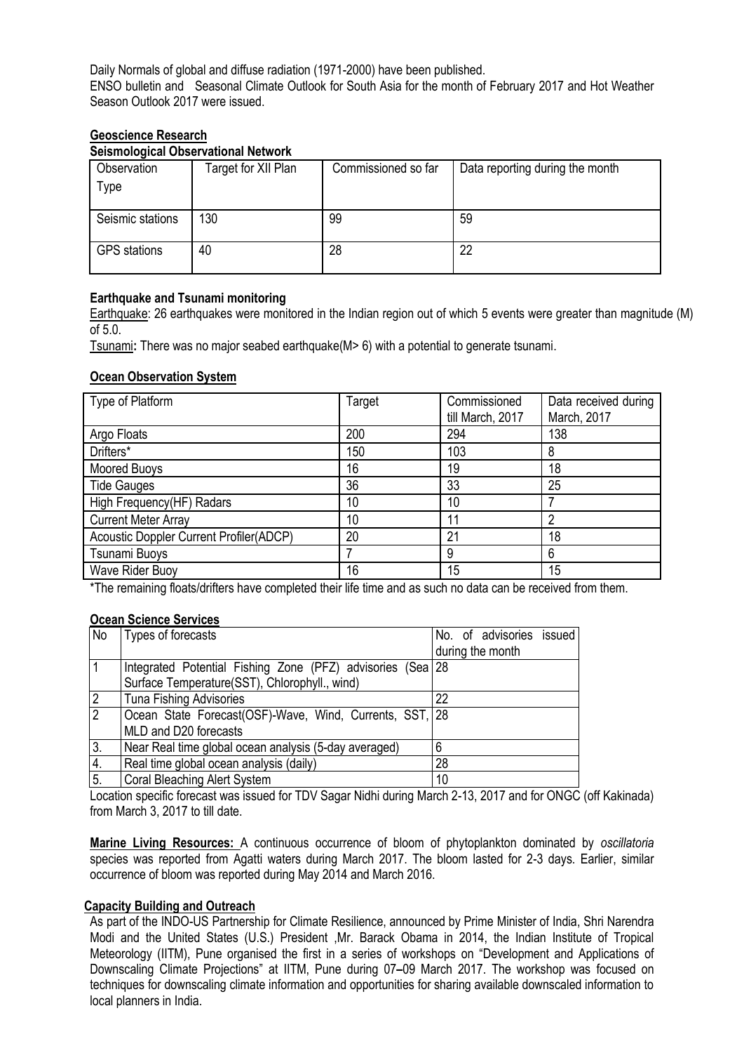Daily Normals of global and diffuse radiation (1971-2000) have been published. ENSO bulletin and Seasonal Climate Outlook for South Asia for the month of February 2017 and Hot Weather Season Outlook 2017 were issued.

## **Geoscience Research**

# **Seismological Observational Network**

| Observation<br>Type | Target for XII Plan | Commissioned so far | Data reporting during the month |
|---------------------|---------------------|---------------------|---------------------------------|
| Seismic stations    | 130                 | 99                  | 59                              |
| <b>GPS</b> stations | 40                  | 28                  | 22                              |

## **Earthquake and Tsunami monitoring**

Earthquake: 26 earthquakes were monitored in the Indian region out of which 5 events were greater than magnitude (M) of 5.0.

Tsunami**:** There was no major seabed earthquake(M> 6) with a potential to generate tsunami.

## **Ocean Observation System**

| Type of Platform                               | Target | Commissioned<br>till March, 2017 | Data received during<br>March, 2017 |
|------------------------------------------------|--------|----------------------------------|-------------------------------------|
| Argo Floats                                    | 200    | 294                              | 138                                 |
| Drifters*                                      | 150    | 103                              | 8                                   |
| Moored Buoys                                   | 16     | 19                               | 18                                  |
| <b>Tide Gauges</b>                             | 36     | 33                               | 25                                  |
| High Frequency(HF) Radars                      | 10     | 10                               |                                     |
| <b>Current Meter Array</b>                     | 10     | 11                               | 2                                   |
| <b>Acoustic Doppler Current Profiler(ADCP)</b> | 20     | 21                               | 18                                  |
| Tsunami Buoys                                  |        | 9                                | 6                                   |
| Wave Rider Buoy                                | 16     | 15                               | 15                                  |

\*The remaining floats/drifters have completed their life time and as such no data can be received from them.

#### **Ocean Science Services**

| No             | Types of forecasts                                         | No. of advisories issued |
|----------------|------------------------------------------------------------|--------------------------|
|                |                                                            | during the month         |
|                | Integrated Potential Fishing Zone (PFZ) advisories (Sea 28 |                          |
|                | Surface Temperature(SST), Chlorophyll., wind)              |                          |
| 2              | <b>Tuna Fishing Advisories</b>                             | 22                       |
| $\overline{2}$ | Ocean State Forecast (OSF)-Wave, Wind, Currents, SST, 28   |                          |
|                | MLD and D20 forecasts                                      |                          |
| 3.             | Near Real time global ocean analysis (5-day averaged)      |                          |
| 4.             | Real time global ocean analysis (daily)                    | 28                       |
| 5.             | <b>Coral Bleaching Alert System</b>                        | 10                       |

Location specific forecast was issued for TDV Sagar Nidhi during March 2-13, 2017 and for ONGC (off Kakinada) from March 3, 2017 to till date.

**Marine Living Resources:** A continuous occurrence of bloom of phytoplankton dominated by *oscillatoria* species was reported from Agatti waters during March 2017. The bloom lasted for 2-3 days. Earlier, similar occurrence of bloom was reported during May 2014 and March 2016.

#### **Capacity Building and Outreach**

As part of the INDO-US Partnership for Climate Resilience, announced by Prime Minister of India, Shri Narendra Modi and the United States (U.S.) President ,Mr. Barack Obama in 2014, the Indian Institute of Tropical Meteorology (IITM), Pune organised the first in a series of workshops on "Development and Applications of Downscaling Climate Projections" at IITM, Pune during 07**–**09 March 2017. The workshop was focused on techniques for downscaling climate information and opportunities for sharing available downscaled information to local planners in India.